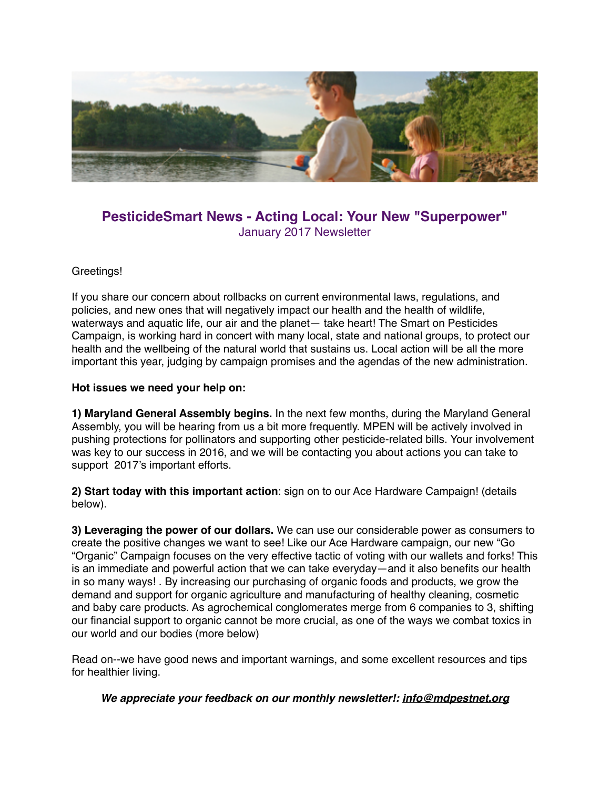

# **PesticideSmart News - Acting Local: Your New "Superpower"** January 2017 Newsletter

### Greetings!

If you share our concern about rollbacks on current environmental laws, regulations, and policies, and new ones that will negatively impact our health and the health of wildlife, waterways and aquatic life, our air and the planet— take heart! The Smart on Pesticides Campaign, is working hard in concert with many local, state and national groups, to protect our health and the wellbeing of the natural world that sustains us. Local action will be all the more important this year, judging by campaign promises and the agendas of the new administration.

#### **Hot issues we need your help on:**

**1) Maryland General Assembly begins.** In the next few months, during the Maryland General Assembly, you will be hearing from us a bit more frequently. MPEN will be actively involved in pushing protections for pollinators and supporting other pesticide-related bills. Your involvement was key to our success in 2016, and we will be contacting you about actions you can take to support 2017's important efforts.

**2) Start today with this important action**: sign on to our Ace Hardware Campaign! (details below).

**3) Leveraging the power of our dollars.** We can use our considerable power as consumers to create the positive changes we want to see! Like our Ace Hardware campaign, our new "Go "Organic" Campaign focuses on the very effective tactic of voting with our wallets and forks! This is an immediate and powerful action that we can take everyday—and it also benefits our health in so many ways! . By increasing our purchasing of organic foods and products, we grow the demand and support for organic agriculture and manufacturing of healthy cleaning, cosmetic and baby care products. As agrochemical conglomerates merge from 6 companies to 3, shifting our financial support to organic cannot be more crucial, as one of the ways we combat toxics in our world and our bodies (more below)

Read on--we have good news and important warnings, and some excellent resources and tips for healthier living.

*We appreciate your feedback on our monthly newsletter!: [info@mdpestnet.org](mailto:info@mdpestnet.org)*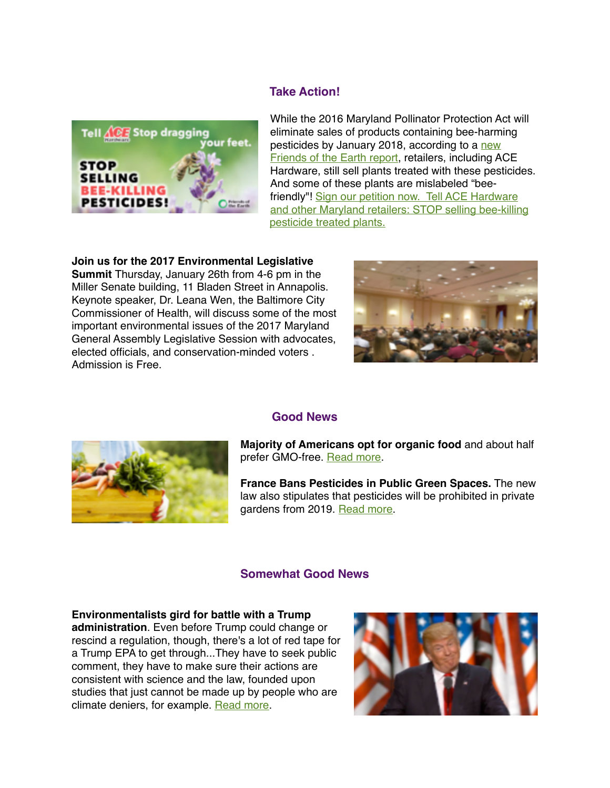## **Take Action!**



While the 2016 Maryland Pollinator Protection Act will eliminate sales of products containing bee-harming [pesticides by January 2018, according to a new](http://mdpestnet.us12.list-manage.com/track/click?u=dcf08b5ef315f2faae2ed89b7&id=c9e66ef16f&e=f5232c3d36)  Friends of the Earth report, retailers, including ACE Hardware, still sell plants treated with these pesticides. And some of these plants are mislabeled "beefriendly"! Sign our petition now. Tell ACE Hardware [and other Maryland retailers: STOP selling bee-killing](http://mdpestnet.us12.list-manage.com/track/click?u=dcf08b5ef315f2faae2ed89b7&id=40f5532d5e&e=f5232c3d36)  pesticide treated plants.

#### **Join us for the 2017 Environmental Legislative**

**Summit** Thursday, January 26th from 4-6 pm in the Miller Senate building, 11 Bladen Street in Annapolis. Keynote speaker, Dr. Leana Wen, the Baltimore City Commissioner of Health, will discuss some of the most important environmental issues of the 2017 Maryland General Assembly Legislative Session with advocates, elected officials, and conservation-minded voters . Admission is Free.





#### **Good News**

**Majority of Americans opt for organic food** and about half prefer GMO-free. [Read more.](http://pewrsr.ch/2g2vLrz)

**France Bans Pesticides in Public Green Spaces.** The new law also stipulates that pesticides will be prohibited in private gardens from 2019. [Read more](http://abcnews.go.com/International/wireStory/france-bans-pesticides-public-green-spaces-44446926).

### **Somewhat Good News**

#### **Environmentalists gird for battle with a Trump**

**administration**. Even before Trump could change or rescind a regulation, though, there's a lot of red tape for a Trump EPA to get through...They have to seek public comment, they have to make sure their actions are consistent with science and the law, founded upon studies that just cannot be made up by people who are climate deniers, for example. [Read more](http://www.npr.org/sections/thetwo-way/2016/11/29/503742840/environmentalists-gird-for-battle-with-a-trump-administration).

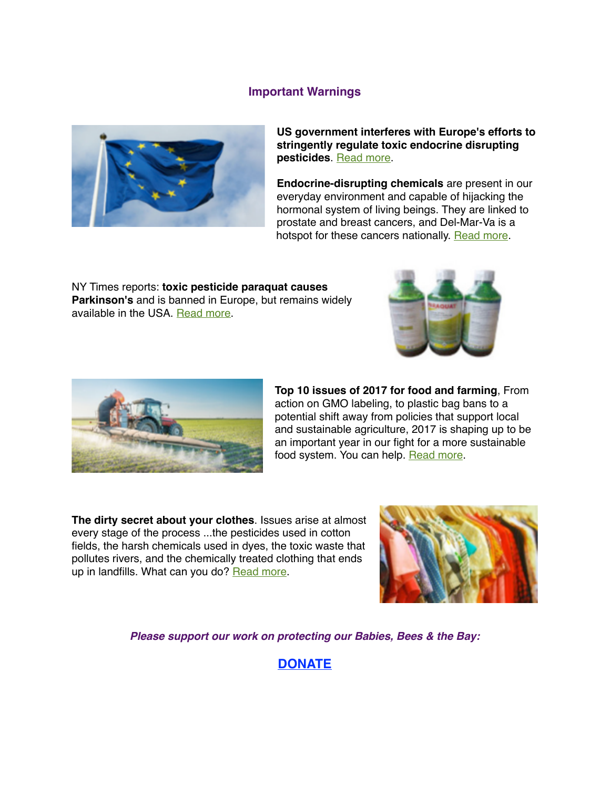### **Important Warnings**



**US government interferes with Europe's efforts to stringently regulate toxic endocrine disrupting pesticides**. [Read more](http://www.environmentalhealthnews.org/ehs/news/2016/dec/endocrine-disruptors-the-interference-of-the-united-states).

**Endocrine-disrupting chemicals** are present in our everyday environment and capable of hijacking the hormonal system of living beings. They are linked to prostate and breast cancers, and Del-Mar-Va is a hotspot for these cancers nationally. [Read more](http://theconversation.com/endocrine-disrupting-chemicals-is-there-any-larger-more-neglected-health-problem-70586).

NY Times reports: **toxic pesticide paraquat causes Parkinson's** and is banned in Europe, but remains widely available in the USA. [Read more.](http://www.nytimes.com/2016/12/20/business/paraquat-weed-killer-pesticide.html?_r=0)





**Top 10 issues of 2017 for food and farming**, From action on GMO labeling, to plastic bag bans to a potential shift away from policies that support local and sustainable agriculture, 2017 is shaping up to be an important year in our fight for a more sustainable food system. You can help. [Read more.](http://gracelinks.org/blog/7688?utm_source=GRACE+Newsletter&utm_campaign=64f8d90a6b-EMAIL_CAMPAIGN_2016_12_14&utm_medium=email&utm_term=0_d8918a9897-64f8d90a6b-119754449)

**The dirty secret about your clothes**. Issues arise at almost every stage of the process ...the pesticides used in cotton fields, the harsh chemicals used in dyes, the toxic waste that pollutes rivers, and the chemically treated clothing that ends up in landfills. What can you do? [Read more.](https://www.washingtonpost.com/business/the-dirty-secret-about-your-clothes/2016/12/30/715ed0e6-bb20-11e6-94ac-3d324840106c_story.html?utm_term=.7d087726ec5a)



*Please support our work on protecting our Babies, Bees & the Bay:*

**[DONATE](https://donatenow.networkforgood.org/MDSmartonPesticides)**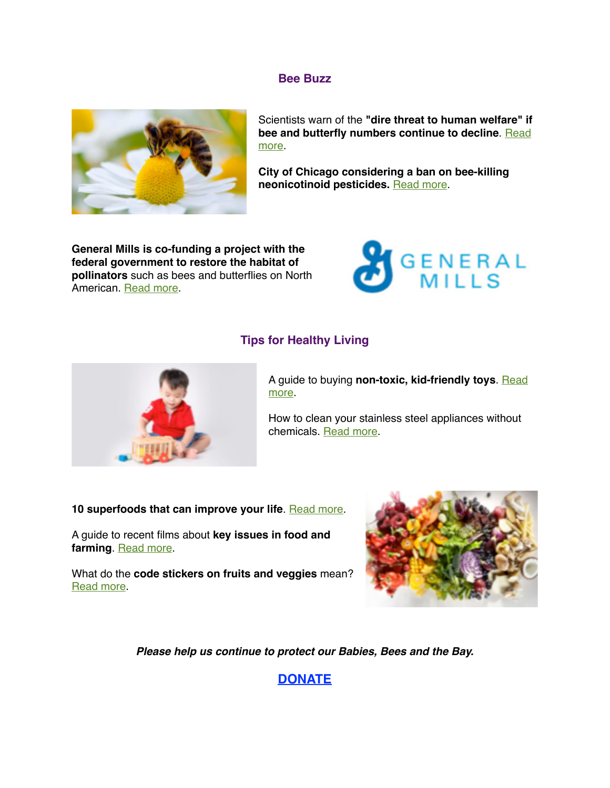#### **Bee Buzz**



Scientists warn of the **"dire threat to human welfare" if [bee and butterfly numbers continue to decline](http://www.news.com.au/technology/science/animals/scientists-warn-of-the-dire-threat-to-human-welfare-if-bee-and-butterfly-numbers-continue-to-decline/news-story/d4ff2c4c21df23529ea916d11f972792)**. Read more.

**City of Chicago considering a ban on bee-killing neonicotinoid pesticides.** [Read more.](http://chicago.suntimes.com/politics/ban-proposed-on-chemicals-that-decimate-bee-population/)

**General Mills is co-funding a project with the federal government to restore the habitat of pollinators** such as bees and butterflies on North American. [Read more.](https://www.theguardian.com/sustainable-business/2016/dec/11/bees-decline-pollinator-agriculture-honeybee)



### **Tips for Healthy Living**



A guide to buying **[non-toxic, kid-friendly toys](http://grist.org/living/your-guide-to-buying-nontoxic-kid-friendly-toys/?utm_campaign=daily-static&utm_medium=email&utm_source=edit-daily)**. Read more.

How to clean your stainless steel appliances without chemicals. [Read more](http://www.rodalesorganiclife.com/home/how-to-clean-your-stainless-steel-appliances-without-chemicals?utm_campaign=OrganicLife&utm_source=rodalesorganiclife.com&utm_medium=newsletter&smartcode=YN_0005409186_0001591758).

**10 superfoods that can improve your life. [Read more.](http://www.mnn.com/health/fitness-well-being/stories/10-superfoods-that-can-improve-your-life)** 

A guide to recent films about **key issues in food and farming**. [Read more.](http://sustainablefoodtrust.org/articles/food-films-of-the-year/?utm_source=SFT+Newsletter&utm_campaign=2c3981b2af-Newsletter_07_10_2014&utm_medium=email&utm_term=0_bf20bccf24-2c3981b2af-105098905)

What do the **code stickers on fruits and veggies** mean? [Read more](https://www.bewell.com/blog/what-do-those-codes-on-stickers-of-fruits-and-some-veggies-mean/).



*Please help us continue to protect our Babies, Bees and the Bay.* 

**[DONATE](https://donatenow.networkforgood.org/MDSmartonPesticides)**